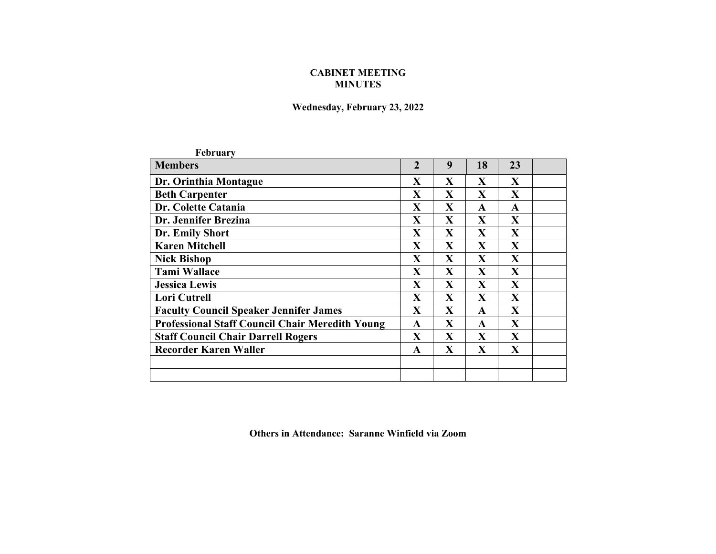## **CABINET MEETING MINUTES**

## **Wednesday, February 23, 2022**

| February                                               |                |              |                         |              |  |
|--------------------------------------------------------|----------------|--------------|-------------------------|--------------|--|
| <b>Members</b>                                         | $\overline{2}$ | 9            | 18                      | 23           |  |
| Dr. Orinthia Montague                                  |                | $\mathbf{X}$ | X                       | $\mathbf{X}$ |  |
| <b>Beth Carpenter</b>                                  |                | $\mathbf{X}$ | $\mathbf{X}$            | $\mathbf{X}$ |  |
| Dr. Colette Catania                                    | X              | X            | A                       | A            |  |
| Dr. Jennifer Brezina                                   | X              | $\mathbf{X}$ | $\mathbf{X}$            | $\mathbf{X}$ |  |
| Dr. Emily Short                                        | X              | $\mathbf{X}$ | $\mathbf{X}$            | $\mathbf{X}$ |  |
| <b>Karen Mitchell</b>                                  | $\mathbf{X}$   | $\mathbf{X}$ | $\mathbf{X}$            | $\mathbf{X}$ |  |
| <b>Nick Bishop</b>                                     | $\mathbf X$    | $\mathbf{X}$ | $\overline{\mathbf{X}}$ | $\mathbf{X}$ |  |
| <b>Tami Wallace</b>                                    | X              | $\mathbf{X}$ | $\mathbf{X}$            | X            |  |
| <b>Jessica Lewis</b>                                   | X              | $\mathbf{X}$ | $\mathbf{X}$            | X            |  |
| <b>Lori Cutrell</b>                                    | X              | X            | $\mathbf{X}$            | $\mathbf{X}$ |  |
| <b>Faculty Council Speaker Jennifer James</b>          |                | $\mathbf{X}$ | $\mathbf{A}$            | $\mathbf{X}$ |  |
| <b>Professional Staff Council Chair Meredith Young</b> |                | X            | $\mathbf{A}$            | X            |  |
| <b>Staff Council Chair Darrell Rogers</b>              |                | $\mathbf{X}$ | $\mathbf{X}$            | $\mathbf{X}$ |  |
| <b>Recorder Karen Waller</b>                           |                | $\mathbf{X}$ | $\mathbf{X}$            | $\mathbf{X}$ |  |
|                                                        |                |              |                         |              |  |
|                                                        |                |              |                         |              |  |

**Others in Attendance: Saranne Winfield via Zoom**